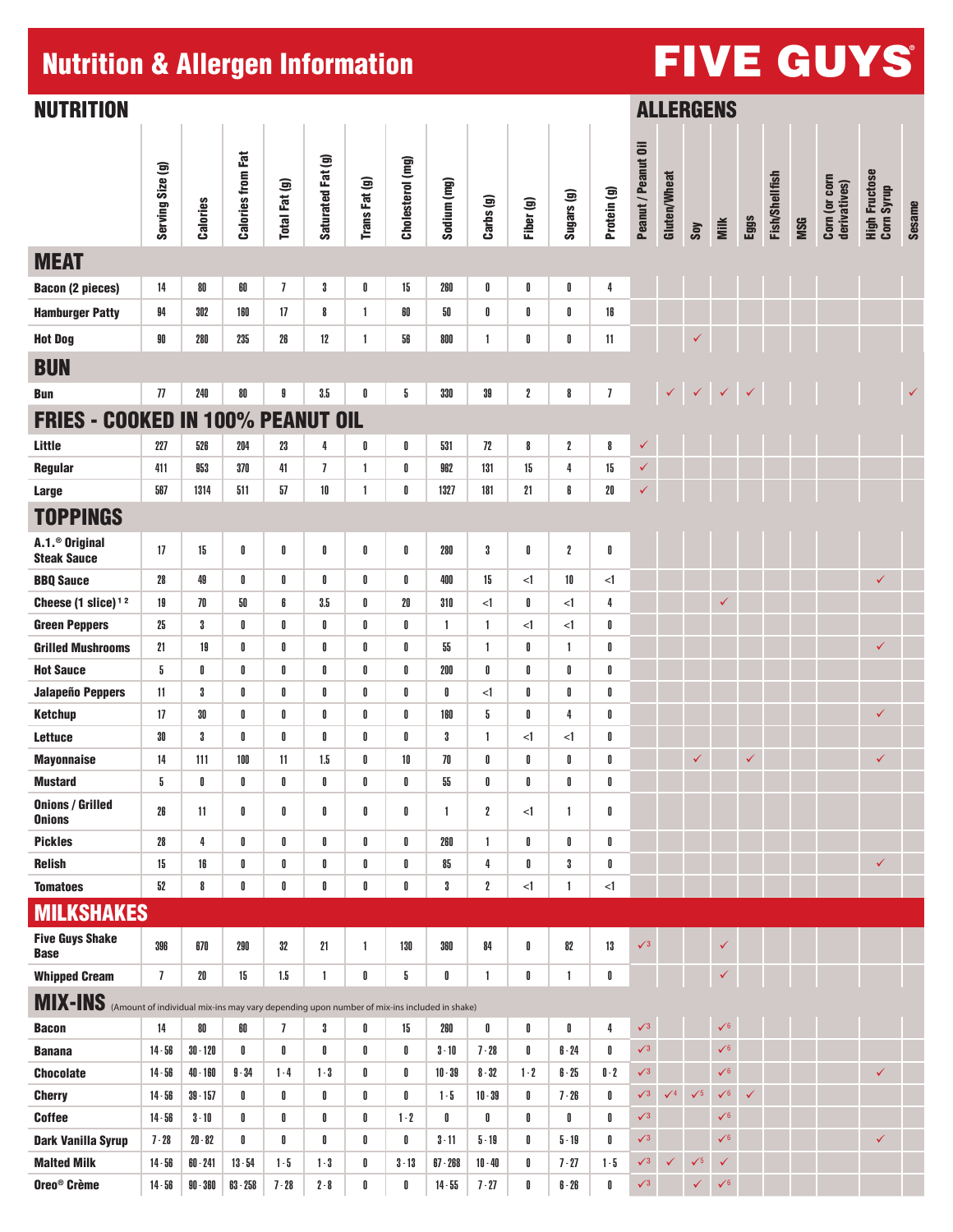# Nutrition & Allergen Information And Account FIVE GUYS

| <b>NUTRITION</b>                                                                                   |                  |            |                           |                |                   |               |                  |                |                  | <b>ALLERGENS</b> |                    |                |                     |                     |              |              |              |                |            |                               |                                    |               |
|----------------------------------------------------------------------------------------------------|------------------|------------|---------------------------|----------------|-------------------|---------------|------------------|----------------|------------------|------------------|--------------------|----------------|---------------------|---------------------|--------------|--------------|--------------|----------------|------------|-------------------------------|------------------------------------|---------------|
|                                                                                                    | Serving Size (g) | Calories   | <b>Calories from Fat</b>  | Total Fat (g)  | Saturated Fat (g) | Trans Fat (g) | Cholesterol (mg) | Sodium (mg)    | Carbs (g)        | Fiber (g)        | Sugars (g)         | Protein (g)    | Peanut / Peanut Oil | <b>Gluten/Wheat</b> | Soy          | Milk         | Eggs         | Fish/Shellfish | <b>MSG</b> | Corn (or corn<br>derivatives) | <b>High Fructose</b><br>Corn Syrup | <b>Sesame</b> |
| <b>MEAT</b>                                                                                        |                  |            |                           |                |                   |               |                  |                |                  |                  |                    |                |                     |                     |              |              |              |                |            |                               |                                    |               |
| <b>Bacon (2 pieces)</b>                                                                            | 14               | 80         | 60                        | $\overline{1}$ | 3                 | 0             | 15               | 260            | 0                | 0                | 0                  | 4              |                     |                     |              |              |              |                |            |                               |                                    |               |
| <b>Hamburger Patty</b>                                                                             | 94               | 302        | 160                       | 17             | 8                 | $\mathbf{1}$  | 60               | 50             | 0                | 0                | 0                  | 16             |                     |                     |              |              |              |                |            |                               |                                    |               |
| <b>Hot Dog</b>                                                                                     | 90               | 280        | 235                       | 26             | 12                | $\mathbf{1}$  | 56               | 800            | $\mathbf{1}$     | 0                | 0                  | 11             |                     |                     | ✓            |              |              |                |            |                               |                                    |               |
| <b>BUN</b>                                                                                         |                  |            |                           |                |                   |               |                  |                |                  |                  |                    |                |                     |                     |              |              |              |                |            |                               |                                    |               |
| <b>Bun</b>                                                                                         | 77               | 240        | 80                        | 9              | $3.5\,$           | 0             | 5                | 330            | 39               | $\boldsymbol{2}$ | 8                  | $\overline{1}$ |                     | $\checkmark$        | $\checkmark$ | $\checkmark$ | $\checkmark$ |                |            |                               |                                    | $\checkmark$  |
| <b>FRIES - COOKED</b>                                                                              |                  |            | <b>IN 100% PEANUT OIL</b> |                |                   |               |                  |                |                  |                  |                    |                |                     |                     |              |              |              |                |            |                               |                                    |               |
| Little                                                                                             | 227              | 526        | 204                       | 23             | 4                 | 0             | 0                | 531            | 72               | 8                | $\boldsymbol{2}$   | 8              | ✓                   |                     |              |              |              |                |            |                               |                                    |               |
| Regular                                                                                            | 411              | 953        | 370                       | 41             | $\overline{1}$    | $\mathbf{1}$  | 0                | 962            | 131              | 15               | 4                  | 15             | ✓                   |                     |              |              |              |                |            |                               |                                    |               |
| <b>Large</b>                                                                                       | 567              | 1314       | 511                       | 57             | $10$              | $\mathbf{1}$  | 0                | 1327           | 181              | 21               | 6                  | $20\,$         | $\checkmark$        |                     |              |              |              |                |            |                               |                                    |               |
| <b>TOPPINGS</b>                                                                                    |                  |            |                           |                |                   |               |                  |                |                  |                  |                    |                |                     |                     |              |              |              |                |            |                               |                                    |               |
| A.1. <sup>®</sup> Original<br><b>Steak Sauce</b>                                                   | 17               | 15         | 0                         | 0              | 0                 | 0             | 0                | 280            | 3                | 0                | $\boldsymbol{2}$   | 0              |                     |                     |              |              |              |                |            |                               |                                    |               |
| <b>BBQ Sauce</b>                                                                                   | 28               | 49         | 0                         | 0              | 0                 | 0             | 0                | 400            | 15               | $\leq$           | 10                 | $\leq$ 1       |                     |                     |              |              |              |                |            |                               | ✓                                  |               |
| Cheese $(1 \text{ slice})$ <sup>12</sup>                                                           | 19               | 70         | 50                        | 6              | 3.5               | 0             | 20               | 310            | $\leq$ 1         | 0                | $<$ 1              | 4              |                     |                     |              | ✓            |              |                |            |                               |                                    |               |
| <b>Green Peppers</b>                                                                               | 25               | 3          | 0                         | 0              | 0                 | 0             | 0                | $\overline{1}$ | $\mathbf{1}$     | $\leq$           | $<$ 1              | 0              |                     |                     |              |              |              |                |            |                               |                                    |               |
| <b>Grilled Mushrooms</b>                                                                           | 21               | 19         | 0                         | 0              | 0                 | 0             | 0                | 55             | $\mathbf{1}$     | 0                | $\mathbf{1}$       | 0              |                     |                     |              |              |              |                |            |                               | ✓                                  |               |
| <b>Hot Sauce</b>                                                                                   | 5                | 0          | 0                         | 0              | 0                 | 0             | 0                | 200            | 0                | 0                | 0                  | 0              |                     |                     |              |              |              |                |            |                               |                                    |               |
| <b>Jalapeño Peppers</b>                                                                            | 11               | 3          | 0                         | 0              | 0                 | 0             | 0                | 0              | <1               | 0                | 0                  | 0              |                     |                     |              |              |              |                |            |                               |                                    |               |
| <b>Ketchup</b>                                                                                     | 17               | $30\,$     | 0                         | 0              | 0                 | 0             | 0                | 160            | 5                | 0                | 4                  | 0              |                     |                     |              |              |              |                |            |                               | $\checkmark$                       |               |
| <b>Lettuce</b>                                                                                     | 30               | 3          | 0                         | 0              | 0                 | 0             | 0                | 3              | $\mathbf{1}$     | <1               | <1                 | 0              |                     |                     |              |              |              |                |            |                               |                                    |               |
| <b>Mayonnaise</b>                                                                                  | 14<br>5          | 111<br>0   | 100<br>ſ                  | 11<br>0        | 1.5<br>0          | 0<br>U        | 10<br>0          | 70<br>55       | 0<br>0           | 0<br>0           | 0<br>U             | 0<br>0         |                     |                     | ✓            |              | ✓            |                |            |                               | ✓                                  |               |
| <b>Mustard</b><br><b>Onions / Grilled</b><br><b>Onions</b>                                         | 26               | 11         | 0                         | 0              | 0                 | 0             | 0                | $\mathbf{1}$   | $\boldsymbol{2}$ | <1               | 1                  | 0              |                     |                     |              |              |              |                |            |                               |                                    |               |
| <b>Pickles</b>                                                                                     | 28               | 4          | 0                         | 0              | 0                 | 0             | 0                | 260            | $\mathbf{1}$     | 0                | 0                  | 0              |                     |                     |              |              |              |                |            |                               |                                    |               |
| <b>Relish</b>                                                                                      | 15               | 16         | 0                         | 0              | 0                 | 0             | 0                | 85             | 4                | 0                | 3                  | O              |                     |                     |              |              |              |                |            |                               | $\checkmark$                       |               |
| <b>Tomatoes</b>                                                                                    | 52               | 8          | 0                         | 0              | 0                 | 0             | 0                | 3              | $\boldsymbol{2}$ | $\leq$ 1         | 1                  | $\leq$         |                     |                     |              |              |              |                |            |                               |                                    |               |
| <b>MILKSHAKES</b>                                                                                  |                  |            |                           |                |                   |               |                  |                |                  |                  |                    |                |                     |                     |              |              |              |                |            |                               |                                    |               |
| <b>Five Guys Shake</b><br><b>Base</b>                                                              | 396              | 670        | 290                       | 32             | 21                | $\mathbf{1}$  | 130              | 360            | 84               | 0                | 82                 | 13             | $\sqrt{3}$          |                     |              | ✓            |              |                |            |                               |                                    |               |
| <b>Whipped Cream</b>                                                                               | $\overline{1}$   | $20\,$     | 15                        | 1.5            | $\mathbf{1}$      | 0             | 5                | 0              | 1                | 0                | $\mathbf{1}$       | 0              |                     |                     |              | ✓            |              |                |            |                               |                                    |               |
| MIX-INS (Amount of individual mix-ins may vary depending upon number of mix-ins included in shake) |                  |            |                           |                |                   |               |                  |                |                  |                  |                    |                |                     |                     |              |              |              |                |            |                               |                                    |               |
| <b>Bacon</b>                                                                                       | 14               | 80         | 60                        | $\overline{1}$ | 3                 | 0             | 15               | 260            | $\pmb{0}$        | 0                | $\pmb{\mathbb{I}}$ | 4              | $\sqrt{3}$          |                     |              | $\sqrt{6}$   |              |                |            |                               |                                    |               |
| <b>Banana</b>                                                                                      | $14 - 56$        | $30 - 120$ | 0                         | 0              | 0                 | 0             | 0                | $3 - 10$       | $7 - 28$         | 0                | $6 - 24$           | 0              | $\sqrt{3}$          |                     |              | $\sqrt{6}$   |              |                |            |                               |                                    |               |
| <b>Chocolate</b>                                                                                   | $14 - 56$        | $40 - 160$ | $9 - 34$                  | $1 - 4$        | $1-3$             | 0             | 0                | $10 - 39$      | $8 - 32$         | $1-2$            | $6 - 25$           | $0-2$          | $\sqrt{3}$          |                     |              | $\sqrt{6}$   |              |                |            |                               | ✓                                  |               |
| <b>Cherry</b>                                                                                      | $14 - 56$        | $39 - 157$ | 0                         | 0              | 0                 | 0             | 0                | $1 - 5$        | $10 - 39$        | 0                | $7 - 26$           | 0              | $\sqrt{3}$          | $\sqrt{4}$          | $\sqrt{5}$   | $\sqrt{6}$   | $\checkmark$ |                |            |                               |                                    |               |
| <b>Coffee</b>                                                                                      | $14 - 56$        | $3 - 10$   | 0                         | 0              | 0                 | 0             | $1 - 2$          | 0              | 0                | 0                | 0                  | 0              | $\sqrt{3}$          |                     |              | $\sqrt{6}$   |              |                |            |                               |                                    |               |
| <b>Dark Vanilla Syrup</b>                                                                          | $7 - 28$         | $20 - 82$  | 0                         | 0              | 0                 | 0             | 0                | $3 - 11$       | $5 - 19$         | 0                | $5 - 19$           | 0              | $\sqrt{3}$          |                     |              | $\sqrt{6}$   |              |                |            |                               | $\checkmark$                       |               |
| <b>Malted Milk</b>                                                                                 | $14 - 56$        | $60 - 241$ | $13 - 54$                 | $1 - 5$        | $1 - 3$           | 0             | $3 - 13$         | $67 - 268$     | $10 - 40$        | 0                | $7 - 27$           | $1 - 5$        | $\sqrt{3}$          | ✓                   | $\sqrt{5}$   | ✓            |              |                |            |                               |                                    |               |
| Oreo <sup>®</sup> Crème                                                                            | $14 - 56$        | $90 - 360$ | $63 - 258$                | $7 - 28$       | $2 - 8$           | 0             | 0                | $14 - 55$      | $7 - 27$         | 0                | $6 - 26$           | 0              | $\sqrt{3}$          |                     | $\checkmark$ | $\sqrt{6}$   |              |                |            |                               |                                    |               |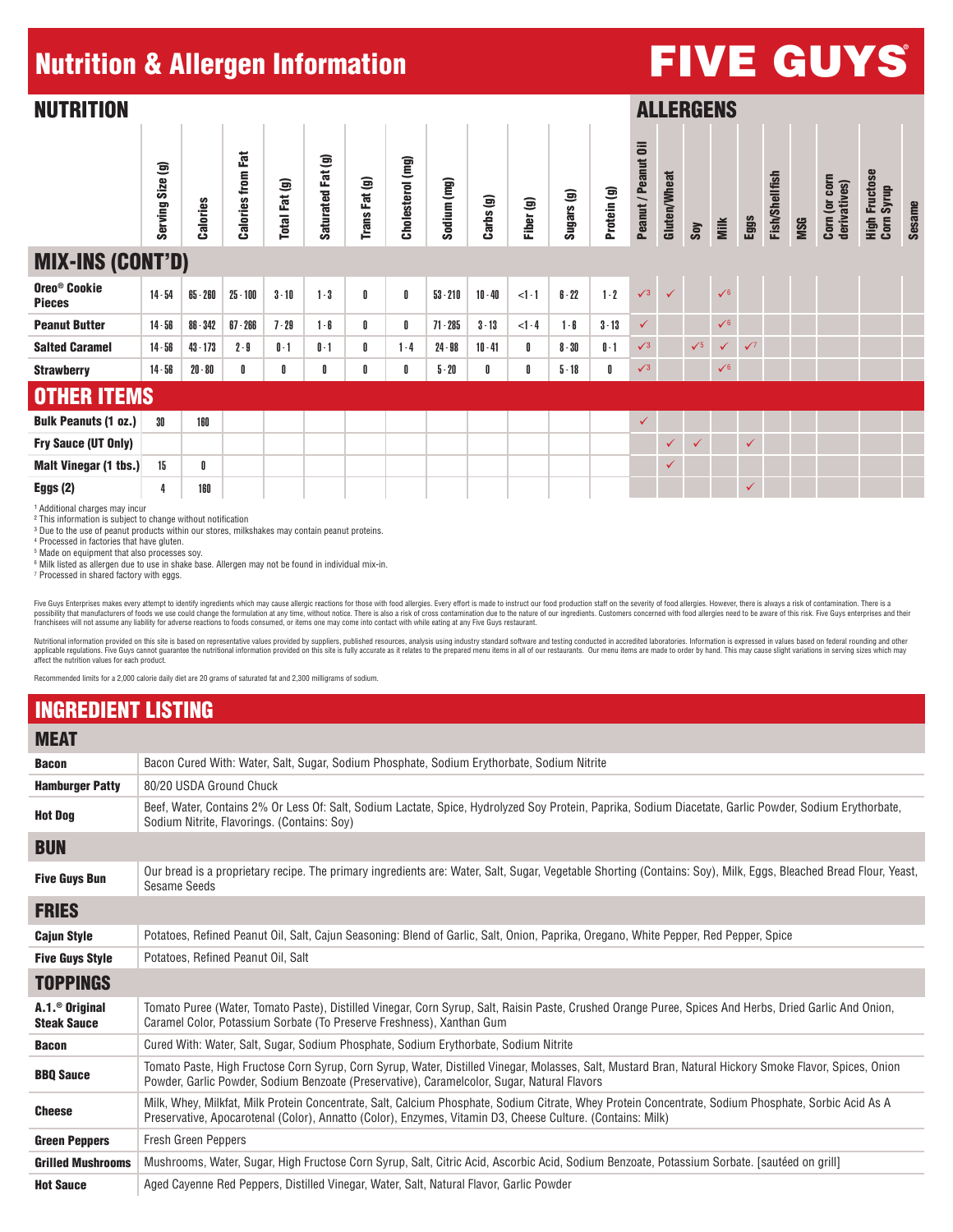#### Nutrition & Allergen Information

## FIVE GUYS ®

| <b>NUTRITION</b>                          |                  |                 |                          |               |                             |               |                  |             |           |           |            |             |                     |              | <b>ALLERGENS</b> |              |            |                       |            |                               |                                    |               |
|-------------------------------------------|------------------|-----------------|--------------------------|---------------|-----------------------------|---------------|------------------|-------------|-----------|-----------|------------|-------------|---------------------|--------------|------------------|--------------|------------|-----------------------|------------|-------------------------------|------------------------------------|---------------|
|                                           | Serving Size (g) | <b>Calories</b> | <b>Calories from Fat</b> | Total Fat (g) | Fat (g)<br><b>Saturated</b> | Trans Fat (g) | Cholesterol (mg) | Sodium (mg) | Carbs (g) | Fiber (g) | Sugars (g) | Protein (g) | Peanut / Peanut Oil | Gluten/Wheat | Soy              | Milk         | Eggs       | <b>Fish/Shellfish</b> | <b>MSG</b> | Corn (or corn<br>derivatives) | <b>High Fructose</b><br>Corn Syrup | <b>Sesame</b> |
| <b>MIX-INS (CONT'D)</b>                   |                  |                 |                          |               |                             |               |                  |             |           |           |            |             |                     |              |                  |              |            |                       |            |                               |                                    |               |
| Oreo <sup>®</sup> Cookie<br><b>Pieces</b> | $14 - 54$        | $65 - 260$      | $25 - 100$               | $3 - 10$      | $1 - 3$                     | 0             | 0                | $53 - 210$  | $10 - 40$ | $<1 - 1$  | $6 - 22$   | $1 - 2$     | $\sqrt{3}$          | $\checkmark$ |                  | $\sqrt{6}$   |            |                       |            |                               |                                    |               |
| <b>Peanut Butter</b>                      | $14 - 56$        | $86 - 342$      | $67 - 266$               | $7 - 29$      | $1 - 6$                     | 0             | 0                | $71 - 285$  | $3 - 13$  | $<1-4$    | $1 - 6$    | $3 - 13$    | $\checkmark$        |              |                  | $\sqrt{6}$   |            |                       |            |                               |                                    |               |
| <b>Salted Caramel</b>                     | $14 - 56$        | $43 - 173$      | $2 - 9$                  | $0-1$         | $0-1$                       | 0             | $1 - 4$          | $24 - 98$   | $10 - 41$ | 0         | $8 - 30$   | $0-1$       | $\sqrt{3}$          |              | $\sqrt{5}$       | $\checkmark$ | $\sqrt{7}$ |                       |            |                               |                                    |               |
| <b>Strawberry</b>                         | $14 - 56$        | $20 - 80$       | 0                        | 0             | 0                           | 0             | 0                | $5 - 20$    | 0         | 0         | $5 - 18$   | 0           | $\sqrt{3}$          |              |                  | $\sqrt{6}$   |            |                       |            |                               |                                    |               |
| <b>OTHER ITEMS</b>                        |                  |                 |                          |               |                             |               |                  |             |           |           |            |             |                     |              |                  |              |            |                       |            |                               |                                    |               |
| <b>Bulk Peanuts (1 oz.)</b>               | 30               | 160             |                          |               |                             |               |                  |             |           |           |            |             | $\checkmark$        |              |                  |              |            |                       |            |                               |                                    |               |
| Fry Sauce (UT Only)                       |                  |                 |                          |               |                             |               |                  |             |           |           |            |             |                     | $\checkmark$ | ✓                |              | ✓          |                       |            |                               |                                    |               |
| <b>Malt Vinegar (1 tbs.)</b>              | 15               | 0               |                          |               |                             |               |                  |             |           |           |            |             |                     | $\checkmark$ |                  |              |            |                       |            |                               |                                    |               |
| Eggs $(2)$                                | 4                | 160             |                          |               |                             |               |                  |             |           |           |            |             |                     |              |                  |              |            |                       |            |                               |                                    |               |

<sup>1</sup> Additional charges may incur ² This information is subject to change without notification

<sup>3</sup> Due to the use of peanut products within our stores, milkshakes may contain peanut proteins.

4 Processed in factories that have gluten.

5 Made on equipment that also processes soy.

6 Milk listed as allergen due to use in shake base. Allergen may not be found in individual mix-in. 7 Processed in shared factory with eggs.

Five Guys Enterprises makes every attempt to identify ingredients which may cause allergic reactions for those with food allergies. Every effort is made to instruct our food production staff on the severity of food allergi franchisees will not assume any liability for adverse reactions to foods consumed, or items one may come into contact with while eating at any Five Guys restaurant.

Nutritional information provided on this site is based on representative values provided by suppliers, published resources, analysis using industry standard software and testing conducted in accredited laboratories. Inform applicable regulations. Five Guys cannot guarantee the nutritional information provided on this site is fully accurate as it relates to the prepared menu items in all of our restaurants. Our menu items are made to order by affect the nutrition values for each product.

Recommended limits for a 2,000 calorie daily diet are 20 grams of saturated fat and 2,300 milligrams of sodium.

#### INGREDIENT LISTING

| <b>MEAT</b>                                        |                                                                                                                                                                                                                                                                    |  |  |  |  |  |  |  |  |  |
|----------------------------------------------------|--------------------------------------------------------------------------------------------------------------------------------------------------------------------------------------------------------------------------------------------------------------------|--|--|--|--|--|--|--|--|--|
| <b>Bacon</b>                                       | Bacon Cured With: Water, Salt, Sugar, Sodium Phosphate, Sodium Erythorbate, Sodium Nitrite                                                                                                                                                                         |  |  |  |  |  |  |  |  |  |
| <b>Hamburger Patty</b>                             | 80/20 USDA Ground Chuck                                                                                                                                                                                                                                            |  |  |  |  |  |  |  |  |  |
| <b>Hot Dog</b>                                     | Beef, Water, Contains 2% Or Less Of: Salt, Sodium Lactate, Spice, Hydrolyzed Soy Protein, Paprika, Sodium Diacetate, Garlic Powder, Sodium Erythorbate,<br>Sodium Nitrite, Flavorings. (Contains: Sov)                                                             |  |  |  |  |  |  |  |  |  |
| <b>BUN</b>                                         |                                                                                                                                                                                                                                                                    |  |  |  |  |  |  |  |  |  |
| <b>Five Guys Bun</b>                               | Our bread is a proprietary recipe. The primary ingredients are: Water, Salt, Sugar, Vegetable Shorting (Contains: Soy), Milk, Eggs, Bleached Bread Flour, Yeast,<br><b>Sesame Seeds</b>                                                                            |  |  |  |  |  |  |  |  |  |
| <b>FRIES</b>                                       |                                                                                                                                                                                                                                                                    |  |  |  |  |  |  |  |  |  |
| <b>Cajun Style</b>                                 | Potatoes, Refined Peanut Oil, Salt, Caiun Seasoning: Blend of Garlic, Salt, Onion, Paprika, Oregano, White Pepper, Red Pepper, Spice                                                                                                                               |  |  |  |  |  |  |  |  |  |
| <b>Five Guys Style</b>                             | Potatoes, Refined Peanut Oil, Salt                                                                                                                                                                                                                                 |  |  |  |  |  |  |  |  |  |
| <b>TOPPINGS</b>                                    |                                                                                                                                                                                                                                                                    |  |  |  |  |  |  |  |  |  |
| $A.1.$ <sup>®</sup> Original<br><b>Steak Sauce</b> | Tomato Puree (Water, Tomato Paste), Distilled Vinegar, Corn Syrup, Salt, Raisin Paste, Crushed Orange Puree, Spices And Herbs, Dried Garlic And Onion,<br>Caramel Color, Potassium Sorbate (To Preserve Freshness), Xanthan Gum                                    |  |  |  |  |  |  |  |  |  |
| <b>Bacon</b>                                       | Cured With: Water, Salt, Sugar, Sodium Phosphate, Sodium Erythorbate, Sodium Nitrite                                                                                                                                                                               |  |  |  |  |  |  |  |  |  |
| <b>BBQ Sauce</b>                                   | Tomato Paste, High Fructose Corn Syrup, Corn Syrup, Water, Distilled Vinegar, Molasses, Salt, Mustard Bran, Natural Hickory Smoke Flavor, Spices, Onion<br>Powder, Garlic Powder, Sodium Benzoate (Preservative), Caramelcolor, Sugar, Natural Flavors             |  |  |  |  |  |  |  |  |  |
| <b>Cheese</b>                                      | Milk, Whey, Milkfat, Milk Protein Concentrate, Salt, Calcium Phosphate, Sodium Citrate, Whey Protein Concentrate, Sodium Phosphate, Sorbic Acid As A<br>Preservative, Apocarotenal (Color), Annatto (Color), Enzymes, Vitamin D3, Cheese Culture. (Contains: Milk) |  |  |  |  |  |  |  |  |  |
| <b>Green Peppers</b>                               | <b>Fresh Green Peppers</b>                                                                                                                                                                                                                                         |  |  |  |  |  |  |  |  |  |
| <b>Grilled Mushrooms</b>                           | Mushrooms, Water, Sugar, High Fructose Corn Syrup, Salt, Citric Acid, Ascorbic Acid, Sodium Benzoate, Potassium Sorbate. [sautéed on grill]                                                                                                                        |  |  |  |  |  |  |  |  |  |
| <b>Hot Sauce</b>                                   | Aged Cayenne Red Peppers, Distilled Vinegar, Water, Salt, Natural Flavor, Garlic Powder                                                                                                                                                                            |  |  |  |  |  |  |  |  |  |